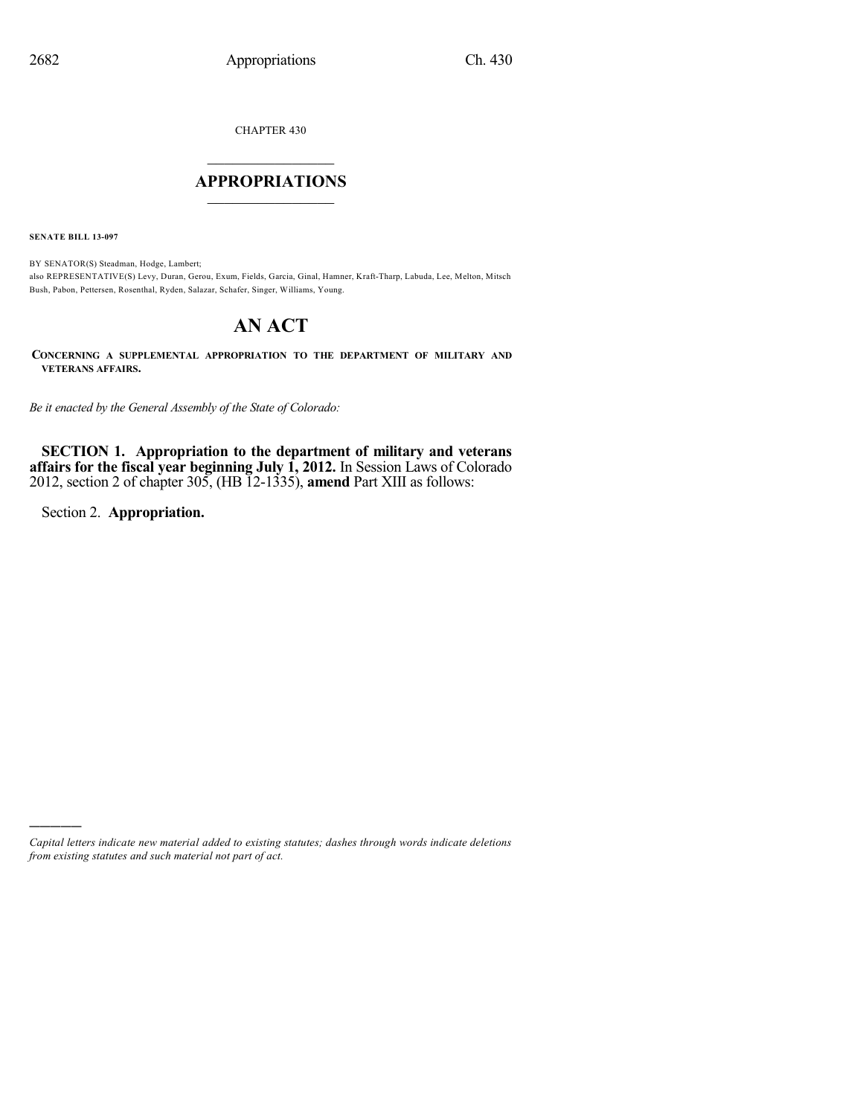CHAPTER 430

## $\overline{\phantom{a}}$  . The set of the set of the set of the set of the set of the set of the set of the set of the set of the set of the set of the set of the set of the set of the set of the set of the set of the set of the set o **APPROPRIATIONS**  $\_$   $\_$   $\_$   $\_$   $\_$   $\_$   $\_$   $\_$

**SENATE BILL 13-097**

BY SENATOR(S) Steadman, Hodge, Lambert; also REPRESENTATIVE(S) Levy, Duran, Gerou, Exum, Fields, Garcia, Ginal, Hamner, Kraft-Tharp, Labuda, Lee, Melton, Mitsch Bush, Pabon, Pettersen, Rosenthal, Ryden, Salazar, Schafer, Singer, Williams, Young.

# **AN ACT**

**CONCERNING A SUPPLEMENTAL APPROPRIATION TO THE DEPARTMENT OF MILITARY AND VETERANS AFFAIRS.**

*Be it enacted by the General Assembly of the State of Colorado:*

**SECTION 1. Appropriation to the department of military and veterans affairs for the fiscal year beginning July 1, 2012.** In Session Laws of Colorado 2012, section 2 of chapter 305, (HB 12-1335), **amend** Part XIII as follows:

Section 2. **Appropriation.**

)))))

*Capital letters indicate new material added to existing statutes; dashes through words indicate deletions from existing statutes and such material not part of act.*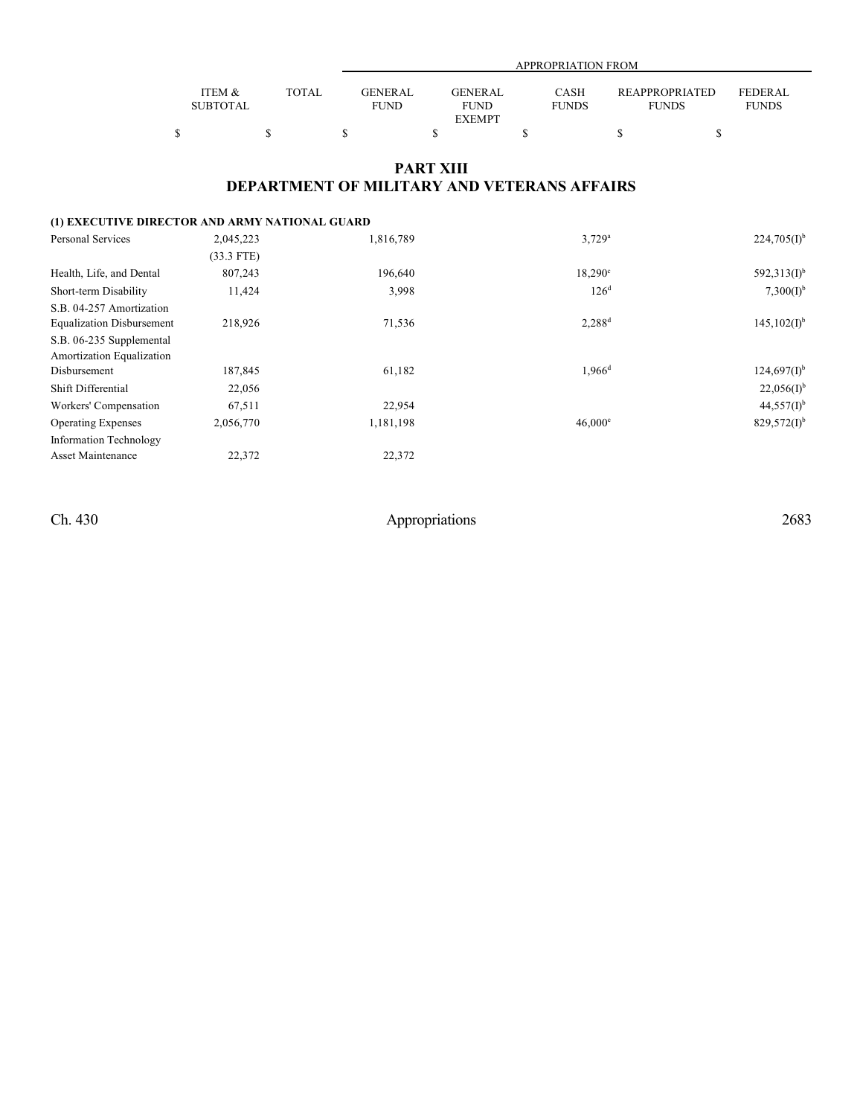|                 |       |                |               | APPROPRIATION FROM |                |              |
|-----------------|-------|----------------|---------------|--------------------|----------------|--------------|
|                 |       |                |               |                    |                |              |
| ITEM &          | TOTAL | <b>GENERAL</b> | GENERAL       | <b>CASH</b>        | REAPPROPRIATED | FEDERAL      |
| <b>SUBTOTAL</b> |       | <b>FUND</b>    | <b>FUND</b>   | <b>FUNDS</b>       | <b>FUNDS</b>   | <b>FUNDS</b> |
|                 |       |                | <b>EXEMPT</b> |                    |                |              |
|                 |       |                |               |                    |                |              |

### **PART XIII DEPARTMENT OF MILITARY AND VETERANS AFFAIRS**

| (1) EXECUTIVE DIRECTOR AND ARMY NATIONAL GUARD |              |           |                      |                           |
|------------------------------------------------|--------------|-----------|----------------------|---------------------------|
| <b>Personal Services</b>                       | 2,045,223    | 1,816,789 | $3,729^a$            | $224,705(1)$ <sup>b</sup> |
|                                                | $(33.3$ FTE) |           |                      |                           |
| Health, Life, and Dental                       | 807,243      | 196,640   | $18,290^{\circ}$     | $592,313(1)$ <sup>b</sup> |
| Short-term Disability                          | 11,424       | 3,998     | 126 <sup>d</sup>     | 7,300(D <sup>b</sup> )    |
| S.B. 04-257 Amortization                       |              |           |                      |                           |
| <b>Equalization Disbursement</b>               | 218,926      | 71,536    | $2,288$ <sup>d</sup> | $145,102(I)^{b}$          |
| S.B. 06-235 Supplemental                       |              |           |                      |                           |
| Amortization Equalization                      |              |           |                      |                           |
| Disbursement                                   | 187,845      | 61,182    | $1.966$ <sup>d</sup> | $124,697(I)^{b}$          |
| Shift Differential                             | 22,056       |           |                      | $22,056(1)$ <sup>b</sup>  |
| Workers' Compensation                          | 67,511       | 22,954    |                      | $44,557(1)^b$             |
| <b>Operating Expenses</b>                      | 2,056,770    | 1,181,198 | $46,000^{\circ}$     | $829,572(1)^b$            |
| <b>Information Technology</b>                  |              |           |                      |                           |
| Asset Maintenance                              | 22,372       | 22,372    |                      |                           |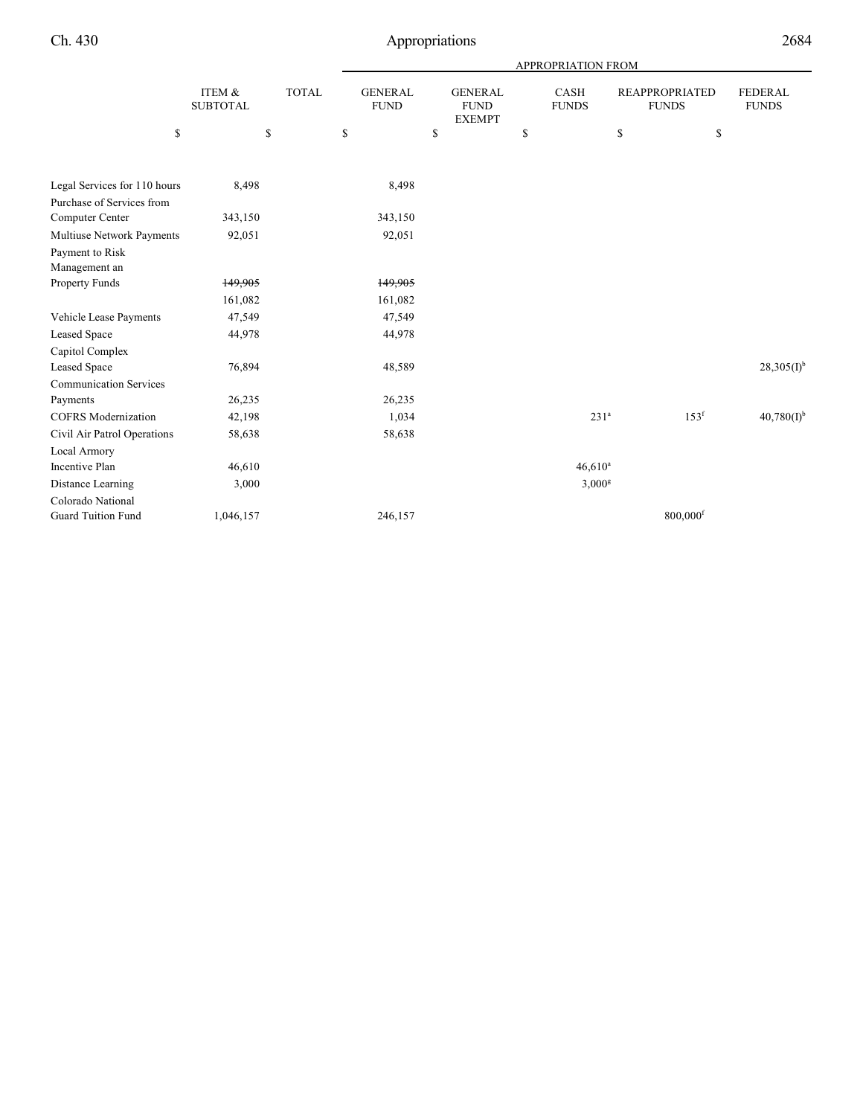|                               |                           |              | <b>APPROPRIATION FROM</b>     |    |                                                |    |                             |                                       |                  |                                |
|-------------------------------|---------------------------|--------------|-------------------------------|----|------------------------------------------------|----|-----------------------------|---------------------------------------|------------------|--------------------------------|
|                               | ITEM &<br><b>SUBTOTAL</b> | <b>TOTAL</b> | <b>GENERAL</b><br><b>FUND</b> |    | <b>GENERAL</b><br><b>FUND</b><br><b>EXEMPT</b> |    | <b>CASH</b><br><b>FUNDS</b> | <b>REAPPROPRIATED</b><br><b>FUNDS</b> |                  | <b>FEDERAL</b><br><b>FUNDS</b> |
| \$                            |                           | \$           | \$                            | \$ |                                                | \$ |                             | \$                                    | \$               |                                |
| Legal Services for 110 hours  | 8,498                     |              | 8,498                         |    |                                                |    |                             |                                       |                  |                                |
| Purchase of Services from     |                           |              |                               |    |                                                |    |                             |                                       |                  |                                |
| Computer Center               | 343,150                   |              | 343,150                       |    |                                                |    |                             |                                       |                  |                                |
| Multiuse Network Payments     | 92,051                    |              | 92,051                        |    |                                                |    |                             |                                       |                  |                                |
| Payment to Risk               |                           |              |                               |    |                                                |    |                             |                                       |                  |                                |
| Management an                 |                           |              |                               |    |                                                |    |                             |                                       |                  |                                |
| Property Funds                | 149,905                   |              | 149,905                       |    |                                                |    |                             |                                       |                  |                                |
|                               | 161,082                   |              | 161,082                       |    |                                                |    |                             |                                       |                  |                                |
| Vehicle Lease Payments        | 47,549                    |              | 47,549                        |    |                                                |    |                             |                                       |                  |                                |
| <b>Leased Space</b>           | 44,978                    |              | 44,978                        |    |                                                |    |                             |                                       |                  |                                |
| Capitol Complex               |                           |              |                               |    |                                                |    |                             |                                       |                  |                                |
| <b>Leased Space</b>           | 76,894                    |              | 48,589                        |    |                                                |    |                             |                                       |                  | $28,305(1)$ <sup>b</sup>       |
| <b>Communication Services</b> |                           |              |                               |    |                                                |    |                             |                                       |                  |                                |
| Payments                      | 26,235                    |              | 26,235                        |    |                                                |    |                             |                                       |                  |                                |
| <b>COFRS</b> Modernization    | 42,198                    |              | 1,034                         |    |                                                |    | 231 <sup>a</sup>            |                                       | 153 <sup>f</sup> | $40,780(1)$ <sup>b</sup>       |
| Civil Air Patrol Operations   | 58,638                    |              | 58,638                        |    |                                                |    |                             |                                       |                  |                                |
| Local Armory                  |                           |              |                               |    |                                                |    |                             |                                       |                  |                                |
| <b>Incentive Plan</b>         | 46,610                    |              |                               |    |                                                |    | $46,610^a$                  |                                       |                  |                                |
| Distance Learning             | 3,000                     |              |                               |    |                                                |    | 3,000 <sup>g</sup>          |                                       |                  |                                |
| Colorado National             |                           |              |                               |    |                                                |    |                             |                                       |                  |                                |
| <b>Guard Tuition Fund</b>     | 1,046,157                 |              | 246,157                       |    |                                                |    |                             |                                       | 800,000f         |                                |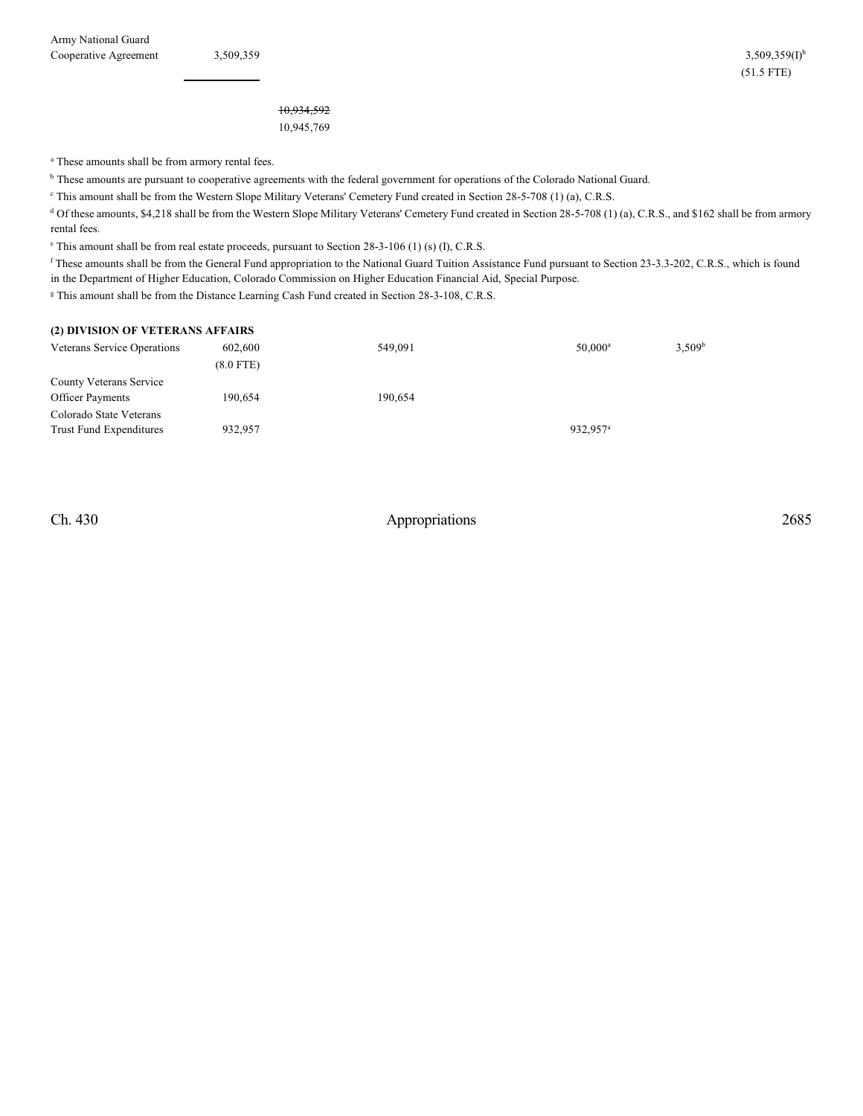10,934,592 10,945,769

<sup>a</sup> These amounts shall be from armory rental fees.

<sup>b</sup> These amounts are pursuant to cooperative agreements with the federal government for operations of the Colorado National Guard.

<sup>e</sup> This amount shall be from the Western Slope Military Veterans' Cemetery Fund created in Section 28-5-708 (1) (a), C.R.S.

<sup>d</sup> Of these amounts, \$4,218 shall be from the Western Slope Military Veterans' Cemetery Fund created in Section 28-5-708 (1) (a), C.R.S., and \$162 shall be from armory rental fees.

 $\degree$  This amount shall be from real estate proceeds, pursuant to Section 28-3-106 (1) (s) (I), C.R.S.

<sup>f</sup> These amounts shall be from the General Fund appropriation to the National Guard Tuition Assistance Fund pursuant to Section 23-3.3-202, C.R.S., which is found in the Department of Higher Education, Colorado Commission on Higher Education Financial Aid, Special Purpose.

<sup>g</sup> This amount shall be from the Distance Learning Cash Fund created in Section 28-3-108, C.R.S.

#### **(2) DIVISION OF VETERANS AFFAIRS**

| Veterans Service Operations                               | 602,600     | 549.091 | $50.000^{\rm a}$     | 3.509 <sup>b</sup> |
|-----------------------------------------------------------|-------------|---------|----------------------|--------------------|
|                                                           | $(8.0$ FTE) |         |                      |                    |
| County Veterans Service<br><b>Officer Payments</b>        | 190.654     | 190.654 |                      |                    |
| Colorado State Veterans<br><b>Trust Fund Expenditures</b> | 932.957     |         | 932.957 <sup>a</sup> |                    |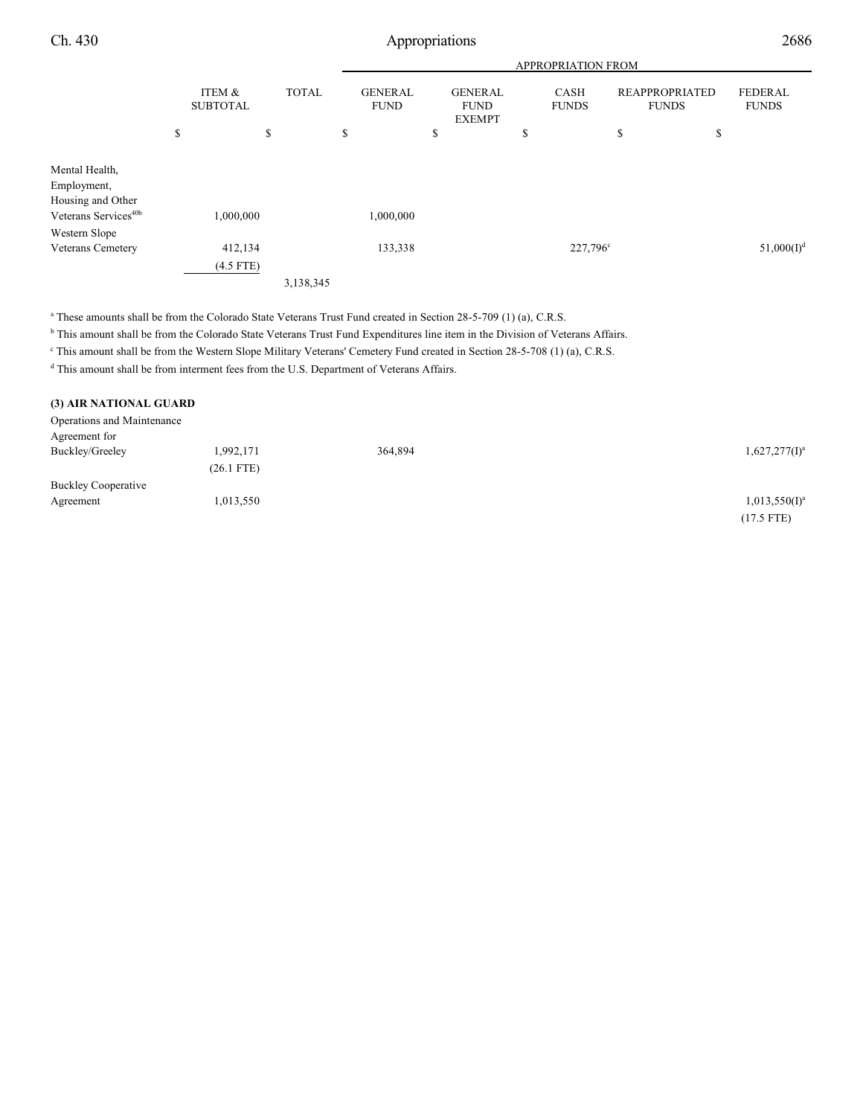|--|

|                                                    |    |                           |                                               | <b>APPROPRIATION FROM</b> |           |                                                |  |                             |                      |                                       |                                |               |
|----------------------------------------------------|----|---------------------------|-----------------------------------------------|---------------------------|-----------|------------------------------------------------|--|-----------------------------|----------------------|---------------------------------------|--------------------------------|---------------|
|                                                    |    | ITEM &<br><b>SUBTOTAL</b> | <b>TOTAL</b><br><b>GENERAL</b><br><b>FUND</b> |                           |           | <b>GENERAL</b><br><b>FUND</b><br><b>EXEMPT</b> |  | <b>CASH</b><br><b>FUNDS</b> |                      | <b>REAPPROPRIATED</b><br><b>FUNDS</b> | <b>FEDERAL</b><br><b>FUNDS</b> |               |
|                                                    | \$ |                           | \$                                            |                           | \$        | \$                                             |  | \$                          |                      | \$                                    | \$                             |               |
| Mental Health,<br>Employment,<br>Housing and Other |    |                           |                                               |                           |           |                                                |  |                             |                      |                                       |                                |               |
| Veterans Services <sup>40b</sup>                   |    | 000,000,                  |                                               |                           | 1,000,000 |                                                |  |                             |                      |                                       |                                |               |
| Western Slope                                      |    |                           |                                               |                           |           |                                                |  |                             |                      |                                       |                                |               |
| Veterans Cemetery                                  |    | 412,134                   |                                               |                           | 133,338   |                                                |  |                             | 227,796 <sup>c</sup> |                                       |                                | $51,000(I)^d$ |
|                                                    |    | $(4.5$ FTE)               |                                               |                           |           |                                                |  |                             |                      |                                       |                                |               |
|                                                    |    |                           |                                               | 3,138,345                 |           |                                                |  |                             |                      |                                       |                                |               |

<sup>a</sup> These amounts shall be from the Colorado State Veterans Trust Fund created in Section 28-5-709 (1) (a), C.R.S.

<sup>b</sup> This amount shall be from the Colorado State Veterans Trust Fund Expenditures line item in the Division of Veterans Affairs.

<sup>c</sup> This amount shall be from the Western Slope Military Veterans' Cemetery Fund created in Section 28-5-708 (1) (a), C.R.S.

 $d$  This amount shall be from interment fees from the U.S. Department of Veterans Affairs.

#### **(3) AIR NATIONAL GUARD**

| Operations and Maintenance |              |         |                  |
|----------------------------|--------------|---------|------------------|
| Agreement for              |              |         |                  |
| Buckley/Greeley            | 1,992,171    | 364,894 | $1,627,277(I)^a$ |
|                            | $(26.1$ FTE) |         |                  |
| <b>Buckley Cooperative</b> |              |         |                  |
| Agreement                  | 1,013,550    |         | $1,013,550(I)^a$ |
|                            |              |         | $(17.5$ FTE)     |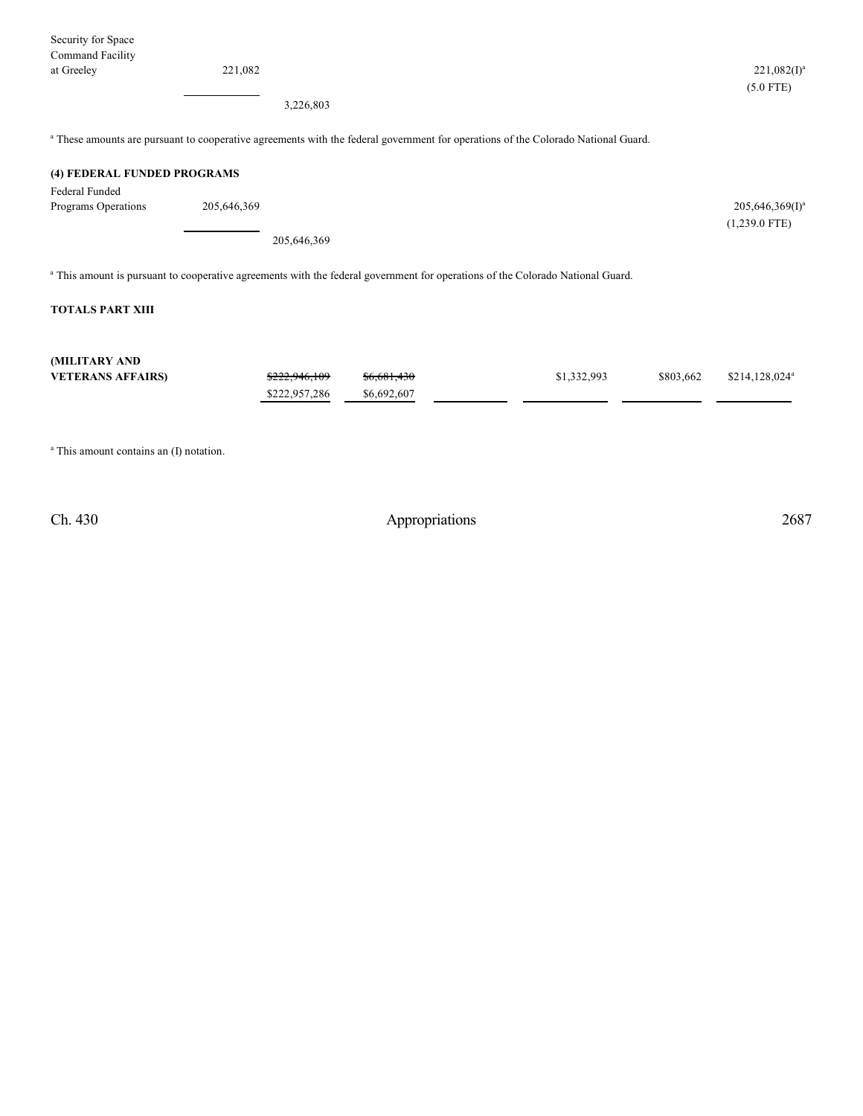| Security for Space          |             |               |             |                                                                                                                                              |           |                    |
|-----------------------------|-------------|---------------|-------------|----------------------------------------------------------------------------------------------------------------------------------------------|-----------|--------------------|
| Command Facility            |             |               |             |                                                                                                                                              |           |                    |
| at Greeley                  | 221,082     |               |             |                                                                                                                                              |           | $221,082(I)^a$     |
|                             |             |               |             |                                                                                                                                              |           | $(5.0$ FTE)        |
|                             |             | 3,226,803     |             |                                                                                                                                              |           |                    |
|                             |             |               |             | <sup>a</sup> These amounts are pursuant to cooperative agreements with the federal government for operations of the Colorado National Guard. |           |                    |
| (4) FEDERAL FUNDED PROGRAMS |             |               |             |                                                                                                                                              |           |                    |
| <b>Federal Funded</b>       |             |               |             |                                                                                                                                              |           |                    |
| Programs Operations         | 205,646,369 |               |             |                                                                                                                                              |           | $205,646,369(I)^a$ |
|                             |             |               |             |                                                                                                                                              |           | $(1,239.0$ FTE)    |
|                             |             | 205,646,369   |             |                                                                                                                                              |           |                    |
|                             |             |               |             | <sup>a</sup> This amount is pursuant to cooperative agreements with the federal government for operations of the Colorado National Guard.    |           |                    |
| <b>TOTALS PART XIII</b>     |             |               |             |                                                                                                                                              |           |                    |
|                             |             |               |             |                                                                                                                                              |           |                    |
| (MILITARY AND               |             |               |             |                                                                                                                                              |           |                    |
| <b>VETERANS AFFAIRS)</b>    |             | \$222,946,109 | \$6,681,430 | \$1,332,993                                                                                                                                  | \$803,662 | $$214,128,024^a$   |
|                             |             | \$222,957,286 | \$6,692,607 |                                                                                                                                              |           |                    |
|                             |             |               |             |                                                                                                                                              |           |                    |
|                             |             |               |             |                                                                                                                                              |           |                    |

<sup>a</sup> This amount contains an (I) notation.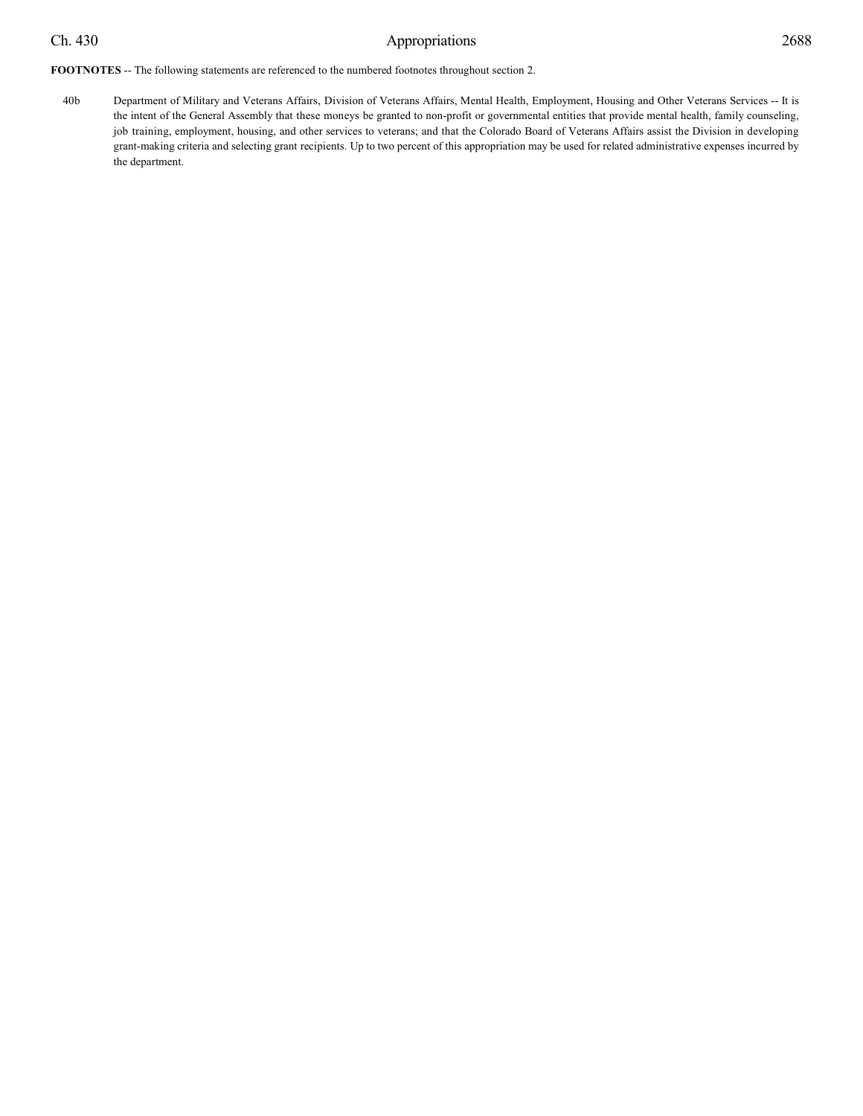40b Department of Military and Veterans Affairs, Division of Veterans Affairs, Mental Health, Employment, Housing and Other Veterans Services -- It is the intent of the General Assembly that these moneys be granted to non-profit or governmental entities that provide mental health, family counseling, job training, employment, housing, and other services to veterans; and that the Colorado Board of Veterans Affairs assist the Division in developing grant-making criteria and selecting grant recipients. Up to two percent of this appropriation may be used for related administrative expenses incurred by the department.